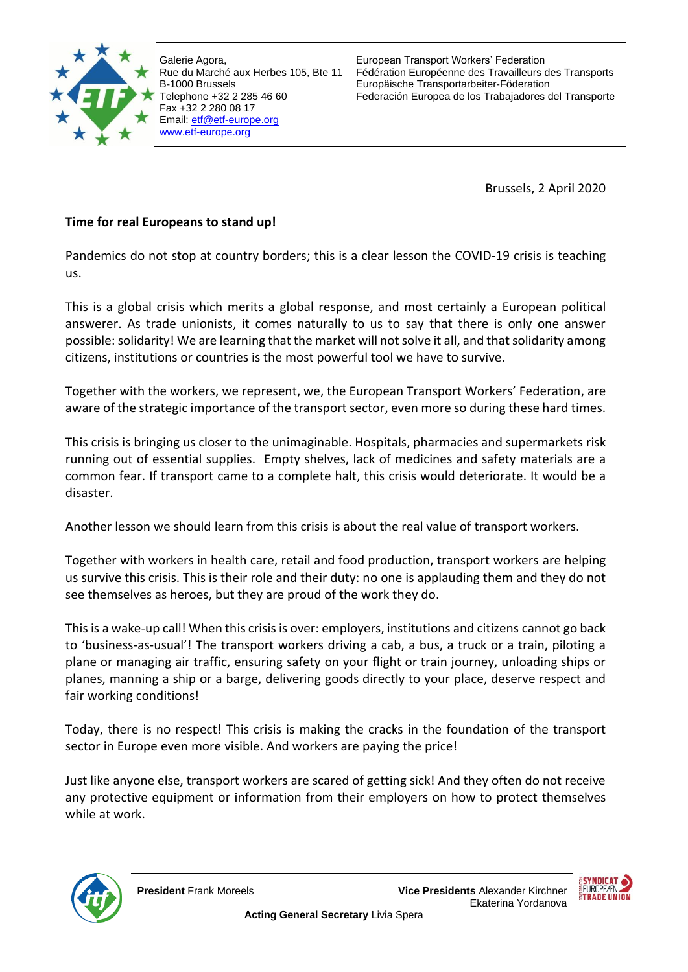

Galerie Agora, Rue du Marché aux Herbes 105, Bte 11 B-1000 Brussels Telephone +32 2 285 46 60 Fax +32 2 280 08 17 Email[: etf@etf-europe.org](mailto:etf@etf-europe.org) [www.etf-europe.org](http://www.etf-europe.org/)

European Transport Workers' Federation Fédération Européenne des Travailleurs des Transports Europäische Transportarbeiter-Föderation Federación Europea de los Trabajadores del Transporte

Brussels, 2 April 2020

## **Time for real Europeans to stand up!**

Pandemics do not stop at country borders; this is a clear lesson the COVID-19 crisis is teaching us.

This is a global crisis which merits a global response, and most certainly a European political answerer. As trade unionists, it comes naturally to us to say that there is only one answer possible: solidarity! We are learning that the market will not solve it all, and that solidarity among citizens, institutions or countries is the most powerful tool we have to survive.

Together with the workers, we represent, we, the European Transport Workers' Federation, are aware of the strategic importance of the transport sector, even more so during these hard times.

This crisis is bringing us closer to the unimaginable. Hospitals, pharmacies and supermarkets risk running out of essential supplies. Empty shelves, lack of medicines and safety materials are a common fear. If transport came to a complete halt, this crisis would deteriorate. It would be a disaster.

Another lesson we should learn from this crisis is about the real value of transport workers.

Together with workers in health care, retail and food production, transport workers are helping us survive this crisis. This is their role and their duty: no one is applauding them and they do not see themselves as heroes, but they are proud of the work they do.

This is a wake-up call! When this crisis is over: employers, institutions and citizens cannot go back to 'business-as-usual'! The transport workers driving a cab, a bus, a truck or a train, piloting a plane or managing air traffic, ensuring safety on your flight or train journey, unloading ships or planes, manning a ship or a barge, delivering goods directly to your place, deserve respect and fair working conditions!

Today, there is no respect! This crisis is making the cracks in the foundation of the transport sector in Europe even more visible. And workers are paying the price!

Just like anyone else, transport workers are scared of getting sick! And they often do not receive any protective equipment or information from their employers on how to protect themselves while at work.